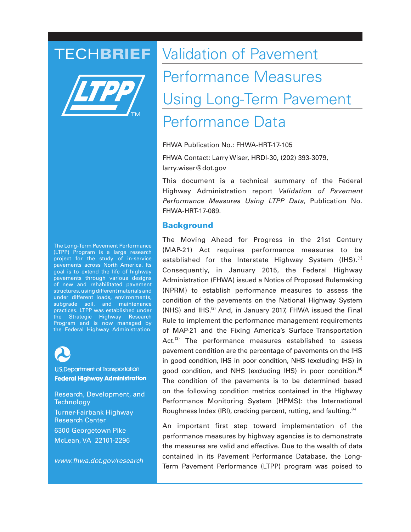

The Long-Term Pavement Performance (LTPP) Program is a large research project for the study of in-service pavements across North America. Its goal is to extend the life of highway pavements through various designs of new and rehabilitated pavement structures, using different materials and under different loads, environments, subgrade soil, and maintenance practices. LTPP was established under the Strategic Highway Research Program and is now managed by the Federal Highway Administration.



U.S. Department of Transportation **Federal Highway Administration** 

Research, Development, and **Technology** Turner-Fairbank Highway Research Center 6300 Georgetown Pike McLean, VA 22101-2296

*<www.fhwa.dot.gov/research>* 

# TECHBRIEF Validation of Pavement Performance Measures Using Long-Term Pavement Performance Data

FHWA Publication No.: FHWA-HRT-17-105

FHWA Contact: Larry Wiser, HRDI-30, (202) 393-3079, [larry.wiser@dot.gov](mailto:larry.wiser@dot.gov)

This document is a technical summary of the Federal Highway Administration report *Validation of Pavement Performance Measures Using LTPP Data*, Publication No. FHWA-HRT-17-089.

## **Background**

The Moving Ahead for Progress in the 21st Century (MAP-21) Act requires performance measures to be established for the Interstate Highway System  $(HSS)<sup>(1)</sup>$ Consequently, in January 2015, the Federal Highway Administration (FHWA) issued a Notice of Proposed Rulemaking (NPRM) to establish performance measures to assess the condition of the pavements on the National Highway System (NHS) and IHS.<sup>(2)</sup> And, in January 2017, FHWA issued the Final Rule to implement the performance management requirements of MAP-21 and the Fixing America's Surface Transportation Act.<sup>(3)</sup> The performance measures established to assess pavement condition are the percentage of pavements on the IHS in good condition, IHS in poor condition, NHS (excluding IHS) in good condition, and NHS (excluding IHS) in poor condition.<sup>(4)</sup> The condition of the pavements is to be determined based on the following condition metrics contained in the Highway Performance Monitoring System (HPMS): the International Roughness Index (IRI), cracking percent, rutting, and faulting.<sup>(4)</sup>

An important first step toward implementation of the performance measures by highway agencies is to demonstrate the measures are valid and effective. Due to the wealth of data contained in its Pavement Performance Database, the Long-Term Pavement Performance (LTPP) program was poised to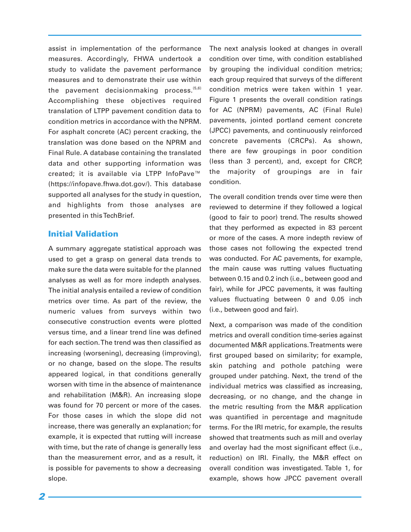assist in implementation of the performance measures. Accordingly, FHWA undertook a study to validate the pavement performance measures and to demonstrate their use within the pavement decisionmaking process.  $(5,6)$ Accomplishing these objectives required translation of LTPP pavement condition data to condition metrics in accordance with the NPRM. For asphalt concrete (AC) percent cracking, the translation was done based on the NPRM and Final Rule. A database containing the translated data and other supporting information was created; it is available via LTPP InfoPave™ [\(https://infopave.fhwa.dot.gov/](https://infopave.fhwa.dot.gov)). This database supported all analyses for the study in question, and highlights from those analyses are presented in this TechBrief.

## Initial Validation

A summary aggregate statistical approach was used to get a grasp on general data trends to make sure the data were suitable for the planned analyses as well as for more indepth analyses. The initial analysis entailed a review of condition metrics over time. As part of the review, the numeric values from surveys within two consecutive construction events were plotted versus time, and a linear trend line was defined for each section. The trend was then classified as increasing (worsening), decreasing (improving), or no change, based on the slope. The results appeared logical, in that conditions generally worsen with time in the absence of maintenance and rehabilitation (M&R). An increasing slope was found for 70 percent or more of the cases. For those cases in which the slope did not increase, there was generally an explanation; for example, it is expected that rutting will increase with time, but the rate of change is generally less than the measurement error, and as a result, it is possible for pavements to show a decreasing slope.

 by grouping the individual condition metrics; concrete pavements (CRCPs). As shown, The next analysis looked at changes in overall condition over time, with condition established each group required that surveys of the different condition metrics were taken within 1 year. Figure 1 presents the overall condition ratings for AC (NPRM) pavements, AC (Final Rule) pavements, jointed portland cement concrete (JPCC) pavements, and continuously reinforced there are few groupings in poor condition (less than 3 percent), and, except for CRCP, the majority of groupings are in fair condition.

(i.e., between good and fair). The overall condition trends over time were then reviewed to determine if they followed a logical (good to fair to poor) trend. The results showed that they performed as expected in 83 percent or more of the cases. A more indepth review of those cases not following the expected trend was conducted. For AC pavements, for example, the main cause was rutting values fluctuating between 0.15 and 0.2 inch (i.e., between good and fair), while for JPCC pavements, it was faulting values fluctuating between 0 and 0.05 inch

Next, a comparison was made of the condition metrics and overall condition time-series against documented M&R applications. Treatments were first grouped based on similarity; for example, skin patching and pothole patching were grouped under patching. Next, the trend of the individual metrics was classified as increasing, decreasing, or no change, and the change in the metric resulting from the M&R application was quantified in percentage and magnitude terms. For the IRI metric, for example, the results showed that treatments such as mill and overlay and overlay had the most significant effect (i.e., reduction) on IRI. Finally, the M&R effect on overall condition was investigated. Table 1, for example, shows how JPCC pavement overall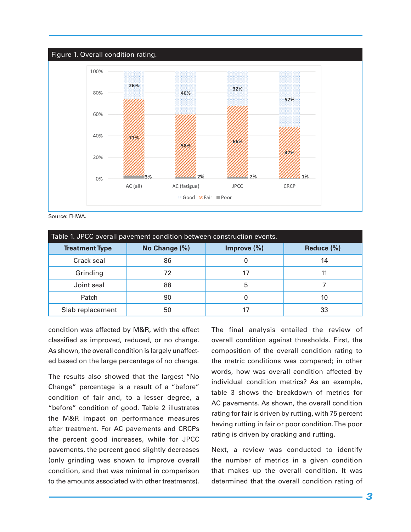

Source: FHWA.

| Table 1. JPCC overall pavement condition between construction events. |               |                |               |  |  |  |  |
|-----------------------------------------------------------------------|---------------|----------------|---------------|--|--|--|--|
| <b>Treatment Type</b>                                                 | No Change (%) | Improve $(\%)$ | Reduce $(\%)$ |  |  |  |  |
| Crack seal                                                            | 86            |                | 14            |  |  |  |  |
| Grinding                                                              | 72            |                |               |  |  |  |  |
| Joint seal                                                            | 88            | 5              |               |  |  |  |  |
| Patch                                                                 | 90            |                | 10            |  |  |  |  |
| Slab replacement                                                      | 50            |                | 33            |  |  |  |  |

condition was affected by M&R, with the effect classified as improved, reduced, or no change. As shown, the overall condition is largely unaffected based on the large percentage of no change.

The results also showed that the largest "No Change" percentage is a result of a "before" condition of fair and, to a lesser degree, a "before" condition of good. Table 2 illustrates the M&R impact on performance measures after treatment. For AC pavements and CRCPs the percent good increases, while for JPCC pavements, the percent good slightly decreases (only grinding was shown to improve overall condition, and that was minimal in comparison to the amounts associated with other treatments).

The final analysis entailed the review of overall condition against thresholds. First, the composition of the overall condition rating to the metric conditions was compared; in other words, how was overall condition affected by individual condition metrics? As an example, table 3 shows the breakdown of metrics for AC pavements. As shown, the overall condition rating for fair is driven by rutting, with 75 percent having rutting in fair or poor condition. The poor rating is driven by cracking and rutting.

Next, a review was conducted to identify the number of metrics in a given condition that makes up the overall condition. It was determined that the overall condition rating of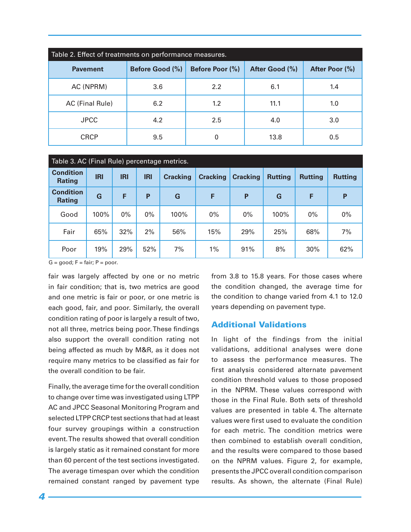| Table 2. Effect of treatments on performance measures. |                        |                 |                |                |  |  |  |  |
|--------------------------------------------------------|------------------------|-----------------|----------------|----------------|--|--|--|--|
| <b>Pavement</b>                                        | <b>Before Good (%)</b> | Before Poor (%) | After Good (%) | After Poor (%) |  |  |  |  |
| AC (NPRM)                                              | 3.6                    | 2.2             | 6.1            | 1.4            |  |  |  |  |
| AC (Final Rule)                                        | 6.2                    | $1.2\,$         | 11.1           | 1.0            |  |  |  |  |
| <b>JPCC</b>                                            | 4.2                    | 2.5             | 4.0            | 3.0            |  |  |  |  |
| <b>CRCP</b>                                            | 9.5                    | 0               | 13.8           | 0.5            |  |  |  |  |

| Table 3. AC (Final Rule) percentage metrics. |            |            |            |                 |                 |                 |                |                |                |
|----------------------------------------------|------------|------------|------------|-----------------|-----------------|-----------------|----------------|----------------|----------------|
| <b>Condition</b><br><b>Rating</b>            | <b>IRI</b> | <b>IRI</b> | <b>IRI</b> | <b>Cracking</b> | <b>Cracking</b> | <b>Cracking</b> | <b>Rutting</b> | <b>Rutting</b> | <b>Rutting</b> |
| <b>Condition</b><br><b>Rating</b>            | G          | F          | P          | G               | F               | P               | G              | F              | P              |
| Good                                         | 100%       | 0%         | $0\%$      | 100%            | $0\%$           | $0\%$           | 100%           | 0%             | $0\%$          |
| Fair                                         | 65%        | 32%        | 2%         | 56%             | 15%             | 29%             | 25%            | 68%            | 7%             |
| Poor                                         | 19%        | 29%        | 52%        | 7%              | 1%              | 91%             | 8%             | 30%            | 62%            |

 $G = good; F = fair; P = poor.$ 

fair was largely affected by one or no metric in fair condition; that is, two metrics are good and one metric is fair or poor, or one metric is each good, fair, and poor. Similarly, the overall condition rating of poor is largely a result of two, not all three, metrics being poor. These findings also support the overall condition rating not being affected as much by M&R, as it does not require many metrics to be classified as fair for the overall condition to be fair.

Finally, the average time for the overall condition to change over time was investigated using LTPP AC and JPCC Seasonal Monitoring Program and selected LTPP CRCP test sections that had at least four survey groupings within a construction event. The results showed that overall condition is largely static as it remained constant for more than 60 percent of the test sections investigated. The average timespan over which the condition remained constant ranged by pavement type

from 3.8 to 15.8 years. For those cases where the condition changed, the average time for the condition to change varied from 4.1 to 12.0 years depending on pavement type.

#### Additional Validations

In light of the findings from the initial validations, additional analyses were done to assess the performance measures. The first analysis considered alternate pavement condition threshold values to those proposed in the NPRM. These values correspond with those in the Final Rule. Both sets of threshold values are presented in table 4. The alternate values were first used to evaluate the condition for each metric. The condition metrics were then combined to establish overall condition, and the results were compared to those based on the NPRM values. Figure 2, for example, presents the JPCC overall condition comparison results. As shown, the alternate (Final Rule)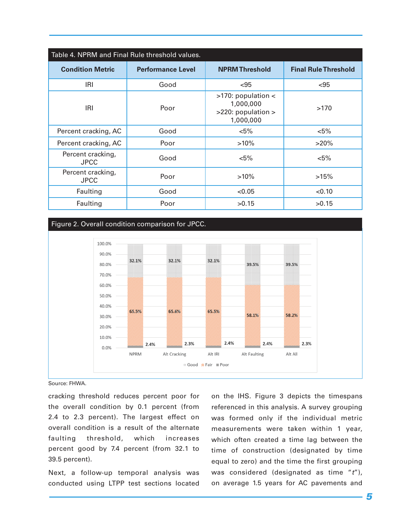| Table 4. NPRM and Final Rule threshold values. |                          |                                                                              |                             |  |  |  |  |
|------------------------------------------------|--------------------------|------------------------------------------------------------------------------|-----------------------------|--|--|--|--|
| <b>Condition Metric</b>                        | <b>Performance Level</b> | <b>NPRM Threshold</b>                                                        | <b>Final Rule Threshold</b> |  |  |  |  |
| IRI                                            | Good                     | < 95                                                                         | < 95                        |  |  |  |  |
| IRI                                            | Poor                     | $>170$ : population $<$<br>1,000,000<br>$>220$ : population $>$<br>1,000,000 | >170                        |  |  |  |  |
| Percent cracking, AC                           | Good                     | $< 5\%$                                                                      | $< 5\%$                     |  |  |  |  |
| Percent cracking, AC                           | Poor                     | $>10\%$                                                                      | $>20\%$                     |  |  |  |  |
| Percent cracking,<br><b>JPCC</b>               | Good                     | $< 5\%$                                                                      | $< 5\%$                     |  |  |  |  |
| Percent cracking,<br><b>JPCC</b>               | Poor                     | $>10\%$                                                                      | >15%                        |  |  |  |  |
| Faulting                                       | Good                     | < 0.05                                                                       | < 0.10                      |  |  |  |  |
| Faulting                                       | Poor                     | >0.15                                                                        | >0.15                       |  |  |  |  |



Source: FHWA.

cracking threshold reduces percent poor for the overall condition by 0.1 percent (from 2.4 to 2.3 percent). The largest effect on overall condition is a result of the alternate faulting threshold, which increases percent good by 7.4 percent (from 32.1 to 39.5 percent).

Next, a follow-up temporal analysis was conducted using LTPP test sections located on the IHS. Figure 3 depicts the timespans referenced in this analysis. A survey grouping was formed only if the individual metric measurements were taken within 1 year, which often created a time lag between the time of construction (designated by time equal to zero) and the time the first grouping was considered (designated as time "*t*"), on average 1.5 years for AC pavements and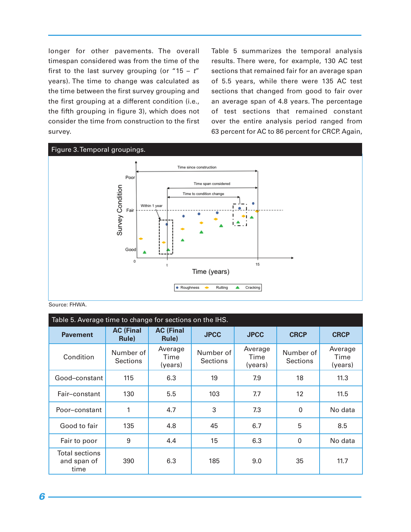longer for other pavements. The overall timespan considered was from the time of the first to the last survey grouping (or "15 – *t*" years). The time to change was calculated as the time between the first survey grouping and the first grouping at a different condition (i.e., the fifth grouping in figure 3), which does not consider the time from construction to the first survey.

Table 5 summarizes the temporal analysis results. There were, for example, 130 AC test sections that remained fair for an average span of 5.5 years, while there were 135 AC test sections that changed from good to fair over an average span of 4.8 years. The percentage of test sections that remained constant over the entire analysis period ranged from 63 percent for AC to 86 percent for CRCP. Again,



Source: FHWA.

| Table 5. Average time to change for sections on the IHS. |                              |                            |                       |                            |                       |                            |  |
|----------------------------------------------------------|------------------------------|----------------------------|-----------------------|----------------------------|-----------------------|----------------------------|--|
| <b>Pavement</b>                                          | <b>AC (Final</b><br>Rule)    | <b>AC (Final</b><br>Rule)  | <b>JPCC</b>           | <b>JPCC</b>                | <b>CRCP</b>           | <b>CRCP</b>                |  |
| Condition                                                | Number of<br><b>Sections</b> | Average<br>Time<br>(years) | Number of<br>Sections | Average<br>Time<br>(years) | Number of<br>Sections | Average<br>Time<br>(years) |  |
| Good-constant                                            | 115                          | 6.3                        | 19                    | 7.9                        | 18                    | 11.3                       |  |
| Fair-constant                                            | 130                          | 5.5                        | 103                   | 7.7                        | 12                    | 11.5                       |  |
| Poor-constant                                            | 1                            | 4.7                        | 3                     | 7.3                        | $\Omega$              | No data                    |  |
| Good to fair                                             | 135                          | 4.8                        | 45                    | 6.7                        | 5                     | 8.5                        |  |
| Fair to poor                                             | 9                            | 4.4                        | 15                    | 6.3                        | $\mathbf 0$           | No data                    |  |
| Total sections<br>and span of<br>time                    | 390                          | 6.3                        | 185                   | 9.0                        | 35                    | 11.7                       |  |

*6*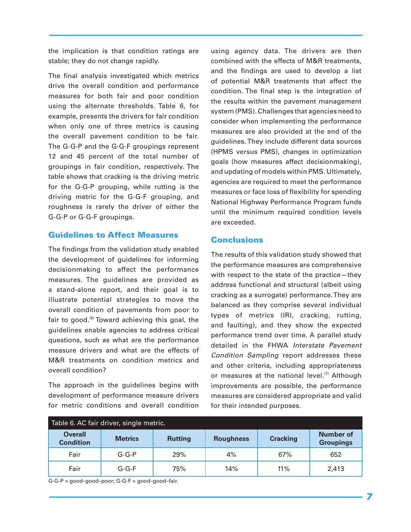the implication is that condition ratings are stable; they do not change rapidly.

 the overall pavement condition to be fair. The final analysis investigated which metrics drive the overall condition and performance measures for both fair and poor condition using the alternate thresholds. Table 6, for example, presents the drivers for fair condition when only one of three metrics is causing The G-G-P and the G-G-F groupings represent 12 and 45 percent of the total number of groupings in fair condition, respectively. The table shows that cracking is the driving metric for the G-G-P grouping, while rutting is the driving metric for the G-G-F grouping, and roughness is rarely the driver of either the G-G-P or G-G-F groupings.

## Guidelines to Affect Measures

The findings from the validation study enabled the development of guidelines for informing decisionmaking to affect the performance measures. The guidelines are provided as a stand-alone report, and their goal is to illustrate potential strategies to move the overall condition of pavements from poor to fair to good. $(6)$  Toward achieving this goal, the guidelines enable agencies to address critical questions, such as what are the performance measure drivers and what are the effects of M&R treatments on condition metrics and overall condition?

The approach in the guidelines begins with development of performance measure drivers for metric conditions and overall condition

 of potential M&R treatments that affect the using agency data. The drivers are then combined with the effects of M&R treatments, and the findings are used to develop a list condition. The final step is the integration of the results within the pavement management system (PMS). Challenges that agencies need to consider when implementing the performance measures are also provided at the end of the guidelines. They include different data sources (HPMS versus PMS), changes in optimization goals (how measures affect decisionmaking), and updating of models within PMS. Ultimately, agencies are required to meet the performance measures or face loss of flexibility for spending National Highway Performance Program funds until the minimum required condition levels are exceeded.

## **Conclusions**

The results of this validation study showed that the performance measures are comprehensive with respect to the state of the practice—they address functional and structural (albeit using cracking as a surrogate) performance. They are balanced as they comprise several individual types of metrics (IRI, cracking, rutting, and faulting), and they show the expected performance trend over time. A parallel study detailed in the FHWA *Interstate Pavement Condition Sampling* report addresses these and other criteria, including appropriateness or measures at the national level.<sup>(7)</sup> Although improvements are possible, the performance measures are considered appropriate and valid for their intended purposes.

| Table 6. AC fair driver, single metric. |                |                |                  |                 |                                      |  |  |  |
|-----------------------------------------|----------------|----------------|------------------|-----------------|--------------------------------------|--|--|--|
| <b>Overall</b><br><b>Condition</b>      | <b>Metrics</b> | <b>Rutting</b> | <b>Roughness</b> | <b>Cracking</b> | <b>Number of</b><br><b>Groupings</b> |  |  |  |
| Fair                                    | $G-G-P$        | 29%            | 4%               | 67%             | 652                                  |  |  |  |
| Fair                                    | $G-G-F$        | 75%            | 14%              | 11%             | 2,413                                |  |  |  |

G-G-P = good–good–poor; G-G-F = good–good–fair.